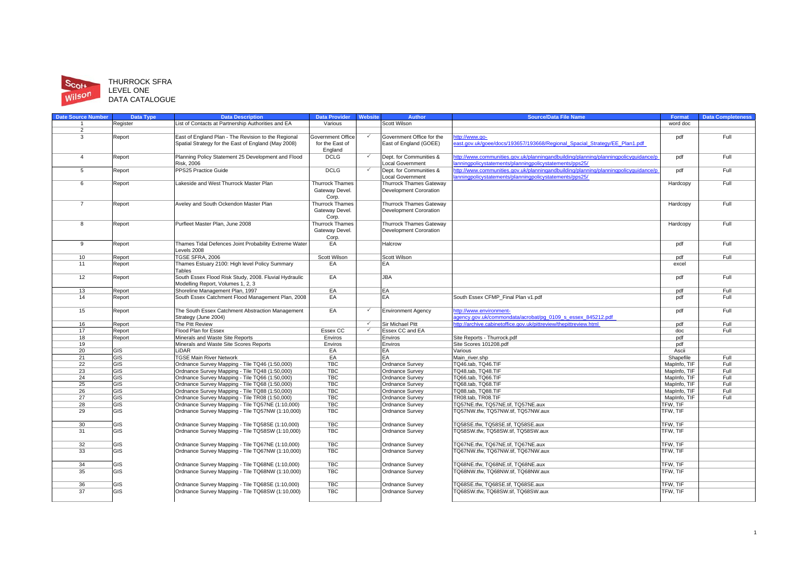

# Scott THURROCK SFRA<br>
Wilson LEVEL ONE<br>
DATA CATALOGUE

| <b>Date Source Number</b> | <b>Data Type</b>          | <b>Data Description</b>                               | <b>Data Provider</b>   | <b>Website</b>          | <b>Author</b>                  | <b>Source/Data File Name</b>                                                       | <b>Format</b> | <b>Data Completeness</b> |
|---------------------------|---------------------------|-------------------------------------------------------|------------------------|-------------------------|--------------------------------|------------------------------------------------------------------------------------|---------------|--------------------------|
| 1                         | Register                  | List of Contacts at Partnership Authorities and EA    | Various                |                         | Scott Wilson                   |                                                                                    | word doc      |                          |
| $\overline{2}$            |                           |                                                       |                        |                         |                                |                                                                                    |               |                          |
| 3                         | Report                    | East of England Plan - The Revision to the Regional   | Government Office      | $\checkmark$            | Government Office for the      | ttp://www.go-                                                                      | pdf           | Full                     |
|                           |                           | Spatial Strategy for the East of England (May 2008)   | for the East of        |                         | East of England (GOEE)         | ast.gov.uk/goee/docs/193657/193668/Regional Spacial Strategy/EE Plan1.pdf          |               |                          |
|                           |                           |                                                       | England                |                         |                                |                                                                                    |               |                          |
| $\overline{4}$            | Report                    | Planning Policy Statement 25 Development and Flood    | <b>DCLG</b>            | $\checkmark$            | Dept. for Communities &        | tp://www.communities.gov.uk/planningandbuilding/planning/planningpolicyguidance/p  | pdf           | Full                     |
|                           |                           | <b>Risk, 2006</b>                                     |                        |                         | <b>Local Government</b>        | anningpolicystatements/planningpolicystatements/pps25/                             |               |                          |
| 5                         | Report                    | PPS25 Practice Guide                                  | <b>DCLG</b>            | $\checkmark$            | Dept. for Communities &        | ttp://www.communities.gov.uk/planningandbuilding/planning/planningpolicyguidance/p | pdf           | Full                     |
|                           |                           |                                                       |                        |                         | <b>Local Government</b>        | anningpolicystatements/planningpolicystatements/pps25/                             |               |                          |
| 6                         | Report                    | Lakeside and West Thurrock Master Plan                | <b>Thurrock Thames</b> |                         | <b>Thurrock Thames Gateway</b> |                                                                                    | Hardcopy      | Full                     |
|                           |                           |                                                       | Gateway Devel.         |                         | <b>Development Cororation</b>  |                                                                                    |               |                          |
|                           |                           |                                                       | Corp.                  |                         |                                |                                                                                    |               |                          |
| $\overline{7}$            | Report                    | Aveley and South Ockendon Master Plan                 | <b>Thurrock Thames</b> |                         | <b>Thurrock Thames Gateway</b> |                                                                                    | Hardcopy      | Full                     |
|                           |                           |                                                       | Gateway Devel.         |                         | Development Cororation         |                                                                                    |               |                          |
|                           |                           |                                                       | Corp.                  |                         |                                |                                                                                    |               |                          |
| 8                         | Report                    | Purfleet Master Plan, June 2008                       | <b>Thurrock Thames</b> |                         | <b>Thurrock Thames Gateway</b> |                                                                                    | Hardcopy      | Full                     |
|                           |                           |                                                       | Gateway Devel.         |                         | <b>Development Cororation</b>  |                                                                                    |               |                          |
|                           |                           |                                                       |                        |                         |                                |                                                                                    |               |                          |
| 9                         |                           | Thames Tidal Defences Joint Probability Extreme Water | Corp.<br>EA            |                         | Halcrow                        |                                                                                    |               | Full                     |
|                           | Report                    | Levels 2008                                           |                        |                         |                                |                                                                                    | pdf           |                          |
|                           |                           |                                                       |                        |                         |                                |                                                                                    |               |                          |
| 10                        | Report                    | TGSE SFRA, 2006                                       | Scott Wilson           |                         | Scott Wilson                   |                                                                                    | pdf           | Full                     |
| 11                        | Report                    | Thames Estuary 2100: High level Policy Summary        | EA                     |                         | EA                             |                                                                                    | excel         |                          |
|                           |                           | Tables                                                |                        |                         |                                |                                                                                    |               |                          |
| 12                        | Report                    | South Essex Flood Risk Study, 2008. Fluvial Hydraulic | EA                     |                         | <b>JBA</b>                     |                                                                                    | pdf           | Full                     |
|                           |                           | Modelling Report, Volumes 1, 2, 3                     |                        |                         |                                |                                                                                    |               |                          |
| 13                        | Report                    | Shoreline Management Plan, 1997                       | EA                     |                         | EA                             |                                                                                    | pdf           | Full                     |
| 14                        | Report                    | South Essex Catchment Flood Management Plan, 2008     | EA                     |                         | EA                             | South Essex CFMP Final Plan v1.pdf                                                 | pdf           | Full                     |
|                           |                           |                                                       |                        |                         |                                |                                                                                    |               |                          |
| 15                        | Report                    | The South Essex Catchment Abstraction Management      | EA                     |                         | <b>Environment Agency</b>      | ttp://www.environment-                                                             | pdf           | Full                     |
|                           |                           | Strategy (June 2004)                                  |                        |                         |                                | gency.gov.uk/commondata/acrobat/pg 0109 s essex 845212.pdf                         |               |                          |
| 16                        | Report                    | The Pitt Review                                       |                        | $\overline{\checkmark}$ | Sir Michael Pitt               | ttp://archive.cabinetoffice.gov.uk/pittreview/thepittreview.html                   | pdf           | Full                     |
| 17                        | Report                    | Flood Plan for Essex                                  | Essex CC               | $\overline{\checkmark}$ | Essex CC and EA                |                                                                                    | doc           | Full                     |
| 18                        | Report                    | Minerals and Waste Site Reports                       | Enviros                |                         | Enviros                        | Site Reports - Thurrock.pdf                                                        | pdf           |                          |
| 19                        |                           | Minerals and Waste Site Scores Reports                | Enviros                |                         | Enviros                        | Site Scores 101208.pdf                                                             | pdf           |                          |
| 20                        | GIS                       | LiDAR                                                 | EA                     |                         | EA                             | Various                                                                            | Ascii         |                          |
| 21                        | $\overline{\mathsf{S}}$   | <b>TGSE Main River Network</b>                        | EA                     |                         | EA                             | Main river.shp                                                                     | Shapefile     | Full                     |
| 22                        | <b>GIS</b>                | Ordnance Survey Mapping - Tile TQ46 (1:50,000)        | <b>TBC</b>             |                         | Ordnance Survey                | TQ46.tab, TQ46.TIF                                                                 | MapInfo, TIF  | Full                     |
| 23                        | <b>GIS</b>                | Ordnance Survey Mapping - Tile TQ48 (1:50,000)        | <b>TBC</b>             |                         | Ordnance Survey                | TQ48.tab, TQ48.TIF                                                                 | MapInfo, TIF  | Full                     |
| 24                        | <b>GIS</b>                | Ordnance Survey Mapping - Tile TQ66 (1:50,000)        | <b>TBC</b>             |                         | Ordnance Survey                | TQ66.tab, TQ66.TIF                                                                 | MapInfo, TIF  | Full                     |
| 25                        | $\overline{\mathsf{GIS}}$ | Ordnance Survey Mapping - Tile TQ68 (1:50,000)        | TBC                    |                         | Ordnance Survey                | TQ68.tab, TQ68.TIF                                                                 | MapInfo, TIF  | Full                     |
| 26                        | $\overline{\mathsf{GIS}}$ | Ordnance Survey Mapping - Tile TQ88 (1:50,000)        | <b>TBC</b>             |                         | Ordnance Survey                | TQ88.tab, TQ88.TIF                                                                 | MapInfo, TIF  | Full                     |
| 27                        | <b>GIS</b>                | Ordnance Survey Mapping - Tile TR08 (1:50,000)        | <b>TBC</b>             |                         | Ordnance Survey                | TR08.tab. TR08.TIF                                                                 | MapInfo, TIF  | Full                     |
| 28                        | $\overline{\mathsf{S}}$   | Ordnance Survey Mapping - Tile TQ57NE (1:10,000)      | <b>TBC</b>             |                         | Ordnance Survev                | TQ57NE.tfw. TQ57NE.tif. TQ57NE.aux                                                 | TFW. TIF      |                          |
| 29                        | <b>GIS</b>                | Ordnance Survey Mapping - Tile TQ57NW (1:10,000)      | <b>TBC</b>             |                         | Ordnance Survey                | TQ57NW.tfw, TQ57NW.tif, TQ57NW.aux                                                 | TFW. TIF      |                          |
|                           |                           |                                                       |                        |                         |                                |                                                                                    |               |                          |
| 30                        | ЭIS                       | Ordnance Survey Mapping - Tile TQ58SE (1:10,000)      | <b>TBC</b>             |                         | Ordnance Survey                | TQ58SE.tfw. TQ58SE.tif. TQ58SE.aux                                                 | TFW. TIF      |                          |
| 31                        | GIS                       | Ordnance Survey Mapping - Tile TQ58SW (1:10,000)      | <b>TBC</b>             |                         | Ordnance Survey                | TQ58SW.tfw, TQ58SW.tif, TQ58SW.aux                                                 | TFW, TIF      |                          |
|                           |                           |                                                       |                        |                         |                                |                                                                                    |               |                          |
| 32                        | GIS                       | Ordnance Survey Mapping - Tile TQ67NE (1:10,000)      | <b>TBC</b>             |                         | Ordnance Survey                | TQ67NE.tfw, TQ67NE.tif, TQ67NE.aux                                                 | TFW. TIF      |                          |
| 33                        | GIS                       |                                                       | <b>TBC</b>             |                         |                                |                                                                                    |               |                          |
|                           |                           | Ordnance Survey Mapping - Tile TQ67NW (1:10,000)      |                        |                         | Ordnance Survey                | TQ67NW.tfw, TQ67NW.tif, TQ67NW.aux                                                 | TFW, TIF      |                          |
|                           |                           |                                                       |                        |                         |                                |                                                                                    |               |                          |
| 34                        | GIS                       | Ordnance Survey Mapping - Tile TQ68NE (1:10,000)      | <b>TBC</b>             |                         | Ordnance Survey                | TQ68NE.tfw, TQ68NE.tif, TQ68NE.aux                                                 | TFW. TIF      |                          |
| 35                        | GIS                       | Ordnance Survey Mapping - Tile TQ68NW (1:10,000)      | <b>TBC</b>             |                         | Ordnance Survey                | TQ68NW.tfw, TQ68NW.tif, TQ68NW.aux                                                 | TFW, TIF      |                          |
|                           |                           |                                                       |                        |                         |                                |                                                                                    |               |                          |
| 36                        | ЭIS                       | Ordnance Survey Mapping - Tile TQ68SE (1:10,000)      | <b>TBC</b>             |                         | Ordnance Survey                | TQ68SE.tfw. TQ68SE.tif. TQ68SE.aux                                                 | TFW, TIF      |                          |
| 37                        | <b>GIS</b>                | Ordnance Survey Mapping - Tile TQ68SW (1:10,000)      | <b>TBC</b>             |                         | Ordnance Survey                | TQ68SW.tfw, TQ68SW.tif, TQ68SW.aux                                                 | TFW, TIF      |                          |
|                           |                           |                                                       |                        |                         |                                |                                                                                    |               |                          |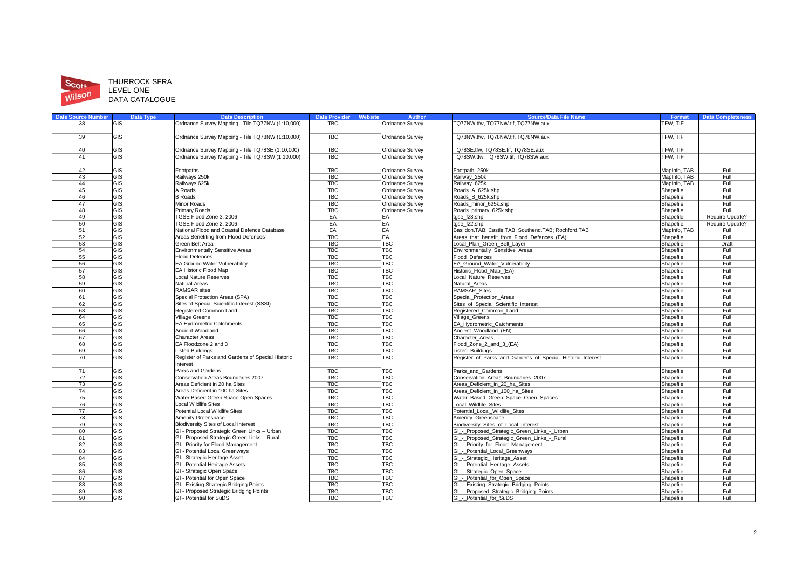

#### Scott **HURROCK SFRA**<br>LEVEL ONE **DATA CATALOGUE**

| <b>Date Source Number</b> | <b>Data Type</b> | <b>Data Description</b>                                                             | <b>Data Provider</b>     | Website | <b>Author</b>            | <b>Source/Data File Name</b>                                                               | Format                 | <b>Data Completeness</b> |
|---------------------------|------------------|-------------------------------------------------------------------------------------|--------------------------|---------|--------------------------|--------------------------------------------------------------------------------------------|------------------------|--------------------------|
| 38                        | GIS              | Ordnance Survey Mapping - Tile TQ77NW (1:10,000)                                    | TBC                      |         | Ordnance Survey          | TQ77NW.tfw, TQ77NW.tif, TQ77NW.aux                                                         | TFW, TIF               |                          |
| 39                        | <b>GIS</b>       | Ordnance Survey Mapping - Tile TQ78NW (1:10,000)                                    | <b>TBC</b>               |         | Ordnance Survey          | TQ78NW.tfw. TQ78NW.tif. TQ78NW.aux                                                         | TFW. TIF               |                          |
| 40                        | GIS              | Ordnance Survey Mapping - Tile TQ78SE (1:10,000)                                    | TBC                      |         | Ordnance Survey          | TQ78SE.tfw, TQ78SE.tif, TQ78SE.aux                                                         | TFW, TIF               |                          |
| 41                        | GIS              | Ordnance Survey Mapping - Tile TQ78SW (1:10,000)                                    | <b>TBC</b>               |         | Ordnance Survey          | TQ78SW.tfw, TQ78SW.tif, TQ78SW.aux                                                         | TFW, TIF               |                          |
|                           |                  |                                                                                     |                          |         |                          |                                                                                            |                        |                          |
| 42                        | GIS              | Footpaths                                                                           | <b>TBC</b>               |         | Ordnance Survey          | Footpath 250k                                                                              | MapInfo, TAB           | Full                     |
| 43                        | GIS              | Railways 250k                                                                       | <b>TBC</b>               |         | Ordnance Survey          | Railway 250k                                                                               | <b>MapInfo, TAB</b>    | Full                     |
| 44                        | GIS              | Railways 625k                                                                       | <b>TBC</b>               |         | Ordnance Survey          | Railway 625k                                                                               | MapInfo, TAB           | Full                     |
| 45                        | GIS              | A Roads                                                                             | <b>TBC</b>               |         | Ordnance Survey          | Roads A 625k.shp                                                                           | Shapefile              | Full                     |
| 46                        | GIS              | <b>B</b> Roads                                                                      | <b>TBC</b>               |         | Ordnance Survey          | Roads B 625k.shp                                                                           | Shapefile              | Full                     |
| 47                        | GIS              | <b>Minor Roads</b>                                                                  | <b>TBC</b>               |         | Ordnance Survey          | Roads minor 625k.shp                                                                       | Shapefile              | Full                     |
| 48                        | GIS              | <b>Primary Roads</b>                                                                | <b>TBC</b>               |         | Ordnance Survey          | Roads primary 625k.shp                                                                     | Shapefile              | Full                     |
| 49                        | GIS              | TGSE Flood Zone 3, 2006                                                             | EA                       |         | EA                       | tgse_fz3.shp                                                                               | Shapefile              | Require Update?          |
| 50                        | GIS              | TGSE Flood Zone 2, 2006                                                             | EA                       |         | EA                       | tgse fz2.shp                                                                               | Shapefile              | Require Update?          |
| 51                        | <b>GIS</b>       | National Flood and Coastal Defence Database                                         | EA                       |         | EA                       | Basildon.TAB: Castle.TAB: Southend.TAB: Rochford.TAB                                       | MapInfo, TAB           | Full                     |
| 52                        | GIS              | Areas Benefiting from Flood Defences                                                | <b>TBC</b>               |         | EA                       | Areas that benefit from Flood Defences (EA)                                                | Shapefile              | Full                     |
| 53                        | GIS              | Green Belt Area                                                                     | <b>TBC</b>               |         | <b>TBC</b>               | Local Plan Green Belt Layer                                                                | Shapefile              | Draft                    |
| 54                        | GIS              | <b>Environmentally Sensitive Areas</b>                                              | <b>TBC</b>               |         | TBC                      | Environmentally_Sensitive_Areas                                                            | Shapefile              | Full                     |
| 55                        | GIS              | Flood Defences                                                                      | <b>TBC</b>               |         | <b>TBC</b>               | Flood Defences                                                                             | Shapefile              | Full                     |
| 56                        | GIS              | EA Ground Water Vulnerability                                                       | <b>TBC</b>               |         | <b>TBC</b>               | EA_Ground_Water_Vulnerability                                                              | Shapefile              | Full                     |
| 57                        | GIS              | EA Historic Flood Map                                                               | <b>TBC</b>               |         | TBC                      | Historic Flood Map (EA)                                                                    | Shapefile              | Full                     |
| 58                        | GIS              | <b>Local Nature Reserves</b>                                                        | <b>TBC</b>               |         | <b>TBC</b>               | ocal Nature Reserves                                                                       | Shapefile              | Full                     |
| 59                        | <b>GIS</b>       | Natural Areas                                                                       | <b>TBC</b>               |         | <b>TBC</b>               | Natural Areas                                                                              | Shapefile              | Full                     |
| 60                        | GIS              | <b>RAMSAR</b> sites                                                                 | <b>TBC</b>               |         | <b>TBC</b>               | RAMSAR Sites                                                                               | Shapefile              | Full                     |
| 61                        | GIS              | Special Protection Areas (SPA)                                                      | <b>TBC</b>               |         | TBC                      | Special Protection Areas                                                                   | Shapefile              | Full                     |
| 62                        | GIS              | Sites of Special Scientific Interest (SSSI)                                         | <b>TBC</b>               |         | TBC                      | Sites of Special Scientific Interest                                                       | Shapefile              | Full                     |
| 63                        | GIS              | Registered Common Land                                                              | <b>TBC</b>               |         | <b>TBC</b>               | Registered_Common_Land                                                                     | Shapefile              | Full                     |
| 64                        | GIS              | <b>Village Greens</b>                                                               | <b>TBC</b>               |         | <b>TBC</b>               | Village Greens                                                                             | Shapefile              | Full                     |
| 65<br>66                  | GIS<br>GIS       | EA Hydrometric Catchments<br>Ancient Woodland                                       | <b>TBC</b><br><b>TBC</b> |         | <b>TBC</b><br><b>TBC</b> | EA Hydrometric Catchments<br>Ancient Woodland (EN)                                         | Shapefile              | Full<br>Full             |
| 67                        | GIS              | <b>Character Areas</b>                                                              | <b>TBC</b>               |         | TBC                      | Character Areas                                                                            | Shapefile<br>Shapefile | Full                     |
| 68                        | <b>GIS</b>       | EA Floodzone 2 and 3                                                                | <b>TBC</b>               |         | <b>TBC</b>               | Flood Zone 2 and 3 (EA)                                                                    | Shapefile              | Full                     |
| 69                        | GIS              | <b>Listed Buildings</b>                                                             | <b>TBC</b>               |         | <b>TBC</b>               | Listed Buildings                                                                           | Shapefile              | Full                     |
| 70                        | GIS              | Register of Parks and Gardens of Special Historic                                   | <b>TBC</b>               |         | <b>TBC</b>               | Register_of_Parks_and_Gardens_of_Special_Historic_Interest                                 | Shapefile              | Full                     |
|                           |                  | Interest                                                                            |                          |         |                          |                                                                                            |                        |                          |
| 71                        | GIS              | Parks and Gardens                                                                   | <b>TBC</b>               |         | <b>TBC</b>               | Parks and Gardens                                                                          | Shapefile              | Full                     |
| 72                        | GIS              | Conservation Areas Boundaries 2007                                                  | <b>TBC</b>               |         | TBC                      | Conservation Areas Boundaries 2007                                                         | Shapefile              | Full                     |
| 73                        | <b>GIS</b>       | Areas Deficient in 20 ha Sites                                                      | <b>TBC</b>               |         | <b>TBC</b>               | Areas Deficient in 20 ha Sites                                                             | Shapefile              | Full                     |
| 74                        | GIS              | Areas Deficient in 100 ha Sites                                                     | <b>TBC</b>               |         | <b>TBC</b>               | Areas Deficient in 100 ha Sites                                                            | Shapefile              | Full                     |
| 75                        | GIS              | Water Based Green Space Open Spaces                                                 | <b>TBC</b>               |         | <b>TBC</b>               | Water Based Green Space Open Spaces                                                        | Shapefile              | Full                     |
| 76                        | GIS              | <b>Local Wildlife Sites</b>                                                         | <b>TBC</b>               |         | TBC                      | Local_Wildlife_Sites                                                                       | Shapefile              | Full                     |
| 77                        | GIS              | Potential Local Wildlife Sites                                                      | <b>TBC</b>               |         | TBC                      | Potential_Local_Wildlife_Sites                                                             | Shapefile              | Full                     |
| 78                        | GIS<br>GIS       | Amenity Greenspace                                                                  | <b>TBC</b><br><b>TBC</b> |         | <b>TBC</b><br><b>TBC</b> | Amenity Greenspace                                                                         | Shapefile              | Full<br>Full             |
| 79<br>80                  | GIS              | Biodiversity Sites of Local Interest<br>GI - Proposed Strategic Green Links - Urban | <b>TBC</b>               |         | <b>TBC</b>               | Biodiversity Sites of Local Interest                                                       | Shapefile<br>Shapefile | Full                     |
| 81                        | <b>GIS</b>       | GI - Proposed Strategic Green Links - Rural                                         | <b>TBC</b>               |         | <b>TBC</b>               | GI - Proposed Strategic Green Links - Urban<br>GI - Proposed Strategic Green Links - Rural | Shapefile              | Full                     |
| 82                        | GIS              | GI - Priority for Flood Management                                                  | <b>TBC</b>               |         | <b>TBC</b>               | GI_-_Priority_for_Flood_Management                                                         |                        | Full                     |
| 83                        | GIS              | GI - Potential Local Greenways                                                      | <b>TBC</b>               |         | <b>TBC</b>               | GI_-_Potential_Local_Greenways                                                             | Shapefile<br>Shapefile | Full                     |
| 84                        | GIS              | GI - Strategic Heritage Asset                                                       | <b>TBC</b>               |         | <b>TBC</b>               | GI_-_Strategic_Heritage_Asset                                                              | Shapefile              | Full                     |
| 85                        | GIS              | GI - Potential Heritage Assets                                                      | <b>TBC</b>               |         | <b>TBC</b>               | GI - Potential Heritage Assets                                                             | Shapefile              | Full                     |
| 86                        | GIS              | GI - Strategic Open Space                                                           | <b>TBC</b>               |         | <b>TBC</b>               | GI - Strategic Open Space                                                                  | Shapefile              | Full                     |
| 87                        | GIS              | GI - Potential for Open Space                                                       | <b>TBC</b>               |         | TBC                      | GI - Potential for Open Space                                                              | Shapefile              | Full                     |
| 88                        | GIS              | GI - Existing Strategic Bridging Points                                             | <b>TBC</b>               |         | TBC                      | GI_-_Existing_Strategic_Bridging_Points                                                    | Shapefile              | Full                     |
| 89                        | GIS              | GI - Proposed Strategic Bridging Points                                             | <b>TBC</b>               |         | <b>TBC</b>               | GI_-_Proposed_Strategic_Bridging_Points.                                                   | Shapefile              | Full                     |
| 90                        | GIS              | GI - Potential for SuDS                                                             | TBC                      |         | <b>TBC</b>               | GI - Potential for SuDS                                                                    | Shapefile              | Full                     |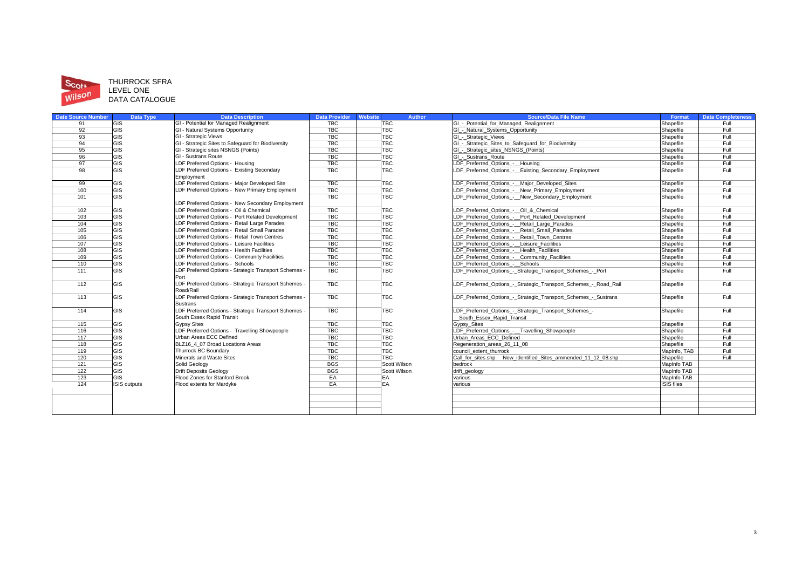

## Scott THURROCK SFRA<br>
Wilson LEVEL ONE<br>
DATA CATALOGUE

| <b>Date Source Number</b> | <b>Data Type</b>    | <b>Data Description</b>                             | <b>Data Provider</b> | <b>Website</b> | <b>Author</b> | <b>Source/Data File Name</b>                                    | Format             | <b>Data Completeness</b> |
|---------------------------|---------------------|-----------------------------------------------------|----------------------|----------------|---------------|-----------------------------------------------------------------|--------------------|--------------------------|
| 91                        | GIS                 | GI - Potential for Managed Realignment              | <b>TBC</b>           |                | <b>TBC</b>    | GI - Potential for Managed Realignment                          | Shapefile          | Full                     |
| 92                        | GIS                 | GI - Natural Systems Opportunity                    | <b>TBC</b>           |                | <b>TBC</b>    | GI - Natural Systems Opportunity                                | Shapefile          | Full                     |
| 93                        | GIS                 | GI - Strategic Views                                | <b>TBC</b>           |                | <b>TBC</b>    | GI - Strategic Views                                            | Shapefile          | Full                     |
| 94                        | GIS                 | GI - Strategic Sites to Safeguard for Biodiversity  | <b>TBC</b>           |                | <b>TBC</b>    | GI - Strategic Sites to Safeguard for Biodiversity              | Shapefile          | Full                     |
| 95                        | GIS                 | GI - Strategic sites NSNGS (Points)                 | <b>TBC</b>           |                | <b>TBC</b>    | - Strategic sites NSNGS (Points)                                | Shapefile          | Full                     |
| 96                        | GIS                 | GI - Sustrans Route                                 | <b>TBC</b>           |                | <b>TBC</b>    | GI - Sustrans Route                                             | Shapefile          | Full                     |
| 97                        | GIS                 | LDF Preferred Options - Housing                     | <b>TBC</b>           |                | TBC           | LDF Preferred Options - Housing                                 | Shapefile          | Full                     |
| 98                        | GIS                 | LDF Preferred Options - Existing Secondary          | <b>TBC</b>           |                | <b>TBC</b>    | LDF Preferred Options - Existing Secondary Employment           | Shapefile          | Full                     |
|                           |                     | Employment                                          |                      |                |               |                                                                 |                    |                          |
| 99                        | <b>GIS</b>          | LDF Preferred Options - Major Developed Site        | <b>TBC</b>           |                | TBC           | LDF Preferred Options - Major Developed Sites                   | Shapefile          | Full                     |
| 100                       | GIS                 | LDF Preferred Options - New Primary Employment      | <b>TBC</b>           |                | <b>TBC</b>    | LDF Preferred Options - New Primary Employment                  | Shapefile          | Full                     |
| 101                       | GIS                 |                                                     | <b>TBC</b>           |                | TBC           | LDF Preferred Options - New Secondary Employment                | Shapefile          | Full                     |
|                           |                     | LDF Preferred Options - New Secondary Employment    |                      |                |               |                                                                 |                    |                          |
| 102                       | GIS                 | LDF Preferred Options - Oil & Chemical              | <b>TBC</b>           |                | TBC           | LDF Preferred Options - Oil & Chemical                          | Shapefile          | Full                     |
| 103                       | GIS                 | LDF Preferred Options - Port Related Development    | <b>TBC</b>           |                | TBC           | LDF Preferred Options - Port Related Development                | Shapefile          | Full                     |
| 104                       | GIS                 | LDF Preferred Options - Retail Large Parades        | <b>TBC</b>           |                | TBC           | LDF Preferred Options - Retail Large Parades                    | Shapefile          | Full                     |
| 105                       | GIS                 | LDF Preferred Options - Retail Small Parades        | <b>TBC</b>           |                | TBC           | LDF Preferred Options - Retail Small Parades                    | Shapefile          | Full                     |
| 106                       | GIS                 | LDF Preferred Options - Retail Town Centres         | <b>TBC</b>           |                | TBC           | LDF Preferred Options - Retail Town Centres                     | Shapefile          | Full                     |
| 107                       | GIS                 | LDF Preferred Options - Leisure Facilities          | <b>TBC</b>           |                | TBC           | LDF Preferred Options - Leisure Facilities                      | Shapefile          | Full                     |
| 108                       | GIS                 | LDF Preferred Options - Health Facilities           | <b>TBC</b>           |                | <b>TBC</b>    | LDF Preferred Options - Health Facilities                       | Shapefile          | Full                     |
| 109                       | GIS                 | LDF Preferred Options - Community Facilities        | <b>TBC</b>           |                | TBC           | LDF Preferred Options - Community Facilities                    | Shapefile          | Full                     |
| 110                       | GIS                 | LDF Preferred Options - Schools                     | <b>TBC</b>           |                | <b>TBC</b>    | LDF Preferred Options - Schools                                 | Shapefile          | Full                     |
| 111                       | GIS                 | LDF Preferred Options - Strategic Transport Schemes | <b>TBC</b>           |                | TBC           | LDF Preferred Options - Strategic Transport Schemes - Port      | Shapefile          | Full                     |
|                           |                     | Port                                                |                      |                |               |                                                                 |                    |                          |
| 112                       | GIS                 | LDF Preferred Options - Strategic Transport Schemes | <b>TBC</b>           |                | <b>TBC</b>    | LDF Preferred Options - Strategic Transport Schemes - Road Rail | Shapefile          | Full                     |
|                           |                     | Road/Rail                                           |                      |                |               |                                                                 |                    |                          |
| 113                       | <b>GIS</b>          | LDF Preferred Options - Strategic Transport Schemes | <b>TBC</b>           |                | <b>TBC</b>    | LDF Preferred Options - Strategic Transport Schemes - Sustrans  | Shapefile          | Full                     |
|                           |                     | <b>Sustrans</b>                                     |                      |                |               |                                                                 |                    |                          |
| 114                       | <b>GIS</b>          | LDF Preferred Options - Strategic Transport Schemes | <b>TBC</b>           |                | <b>TBC</b>    | LDF Preferred Options - Strategic Transport Schemes -           | Shapefile          | Full                     |
|                           |                     | South Essex Rapid Transit                           |                      |                |               | South Essex Rapid Transit                                       |                    |                          |
| 115                       | GIS                 | <b>Gypsy Sites</b>                                  | <b>TBC</b>           |                | <b>TBC</b>    | Gypsy_Sites                                                     | Shapefile          | Full                     |
| 116                       | GIS                 | LDF Preferred Options - Travelling Showpeople       | <b>TBC</b>           |                | TBC           | LDF Preferred Options - Travelling Showpeople                   | Shapefile          | Full                     |
| 117                       | GIS                 | Urban Areas ECC Defined                             | <b>TBC</b>           |                | TBC           | Urban Areas ECC Defined                                         | Shapefile          | Full                     |
| 118                       | GIS                 | BLZ16 4 07 Broad Locations Areas                    | <b>TBC</b>           |                | <b>TBC</b>    | Regeneration areas 26 11 08                                     | Shapefile          | Full                     |
| 119                       | GIS                 | Thurrock BC Boundary                                | <b>TBC</b>           |                | TBC           | council extent thurrock                                         | MapInfo, TAB       | Full                     |
| 120                       | GIS                 | Minerals and Waste Sites                            | <b>TBC</b>           |                | <b>TBC</b>    | Call for sites shp New identified Sites ammended 11 12 08 shp   | Shapefile          | Full                     |
| 121                       | GIS                 | Solid Geology                                       | <b>BGS</b>           |                | Scott Wilson  | bedrock                                                         | MapInfo TAB        |                          |
| 122                       | GIS                 | <b>Drift Deposits Geology</b>                       | <b>BGS</b>           |                | Scott Wilson  | drift_geology                                                   | MapInfo TAB        |                          |
| 123                       | GIS                 | Flood Zones for Stanford Brook                      | EA                   |                | EA            | various                                                         | <b>MapInfo TAB</b> |                          |
| 124                       | <b>ISIS</b> outputs | Flood extents for Mardyke                           | EA                   |                | EA            | various                                                         | <b>ISIS</b> files  |                          |
|                           |                     |                                                     |                      |                |               |                                                                 |                    |                          |
|                           |                     |                                                     |                      |                |               |                                                                 |                    |                          |
|                           |                     |                                                     |                      |                |               |                                                                 |                    |                          |
|                           |                     |                                                     |                      |                |               |                                                                 |                    |                          |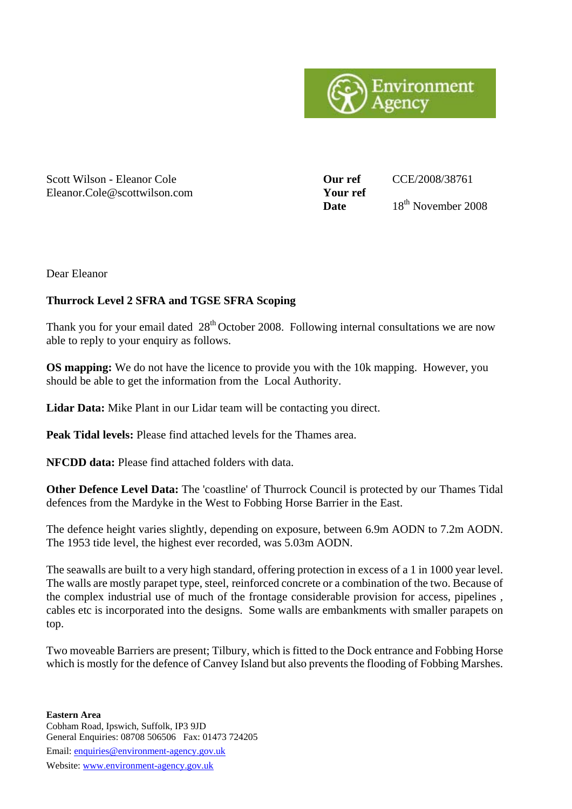

#### Scott Wilson - Eleanor Cole **Our ref** CCE/2008/38761 Eleanor.Cole@scottwilson.com **Your ref**

Date  $18^{th}$  November 2008

Dear Eleanor

### **Thurrock Level 2 SFRA and TGSE SFRA Scoping**

Thank you for your email dated  $28<sup>th</sup>$  October 2008. Following internal consultations we are now able to reply to your enquiry as follows.

**OS mapping:** We do not have the licence to provide you with the 10k mapping. However, you should be able to get the information from the Local Authority.

Lidar Data: Mike Plant in our Lidar team will be contacting you direct.

**Peak Tidal levels:** Please find attached levels for the Thames area.

**NFCDD data:** Please find attached folders with data.

**Other Defence Level Data:** The 'coastline' of Thurrock Council is protected by our Thames Tidal defences from the Mardyke in the West to Fobbing Horse Barrier in the East.

The defence height varies slightly, depending on exposure, between 6.9m AODN to 7.2m AODN. The 1953 tide level, the highest ever recorded, was 5.03m AODN.

The seawalls are built to a very high standard, offering protection in excess of a 1 in 1000 year level. The walls are mostly parapet type, steel, reinforced concrete or a combination of the two. Because of the complex industrial use of much of the frontage considerable provision for access, pipelines , cables etc is incorporated into the designs. Some walls are embankments with smaller parapets on top.

Two moveable Barriers are present; Tilbury, which is fitted to the Dock entrance and Fobbing Horse which is mostly for the defence of Canvey Island but also prevents the flooding of Fobbing Marshes.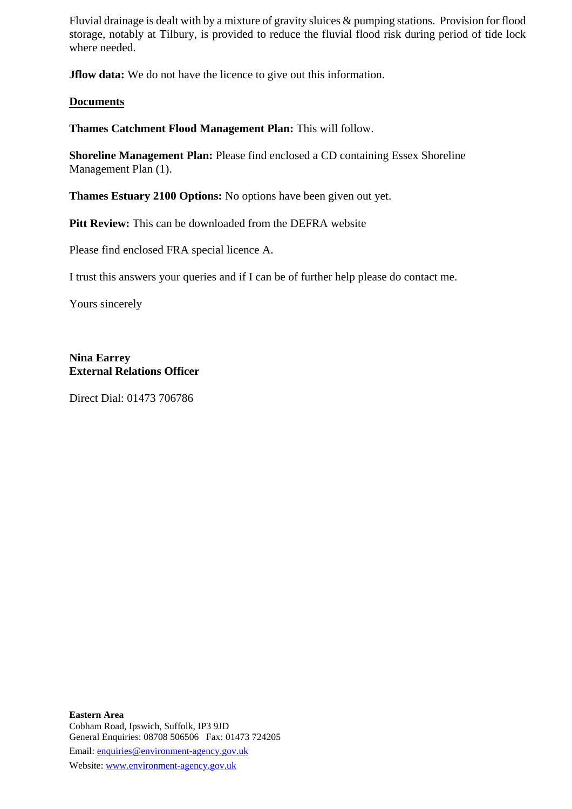Fluvial drainage is dealt with by a mixture of gravity sluices & pumping stations. Provision for flood storage, notably at Tilbury, is provided to reduce the fluvial flood risk during period of tide lock where needed.

**Jflow data:** We do not have the licence to give out this information.

#### **Documents**

**Thames Catchment Flood Management Plan:** This will follow.

**Shoreline Management Plan:** Please find enclosed a CD containing Essex Shoreline Management Plan (1).

**Thames Estuary 2100 Options:** No options have been given out yet.

Pitt Review: This can be downloaded from the DEFRA website

Please find enclosed FRA special licence A.

I trust this answers your queries and if I can be of further help please do contact me.

Yours sincerely

**Nina Earrey External Relations Officer** 

Direct Dial: 01473 706786